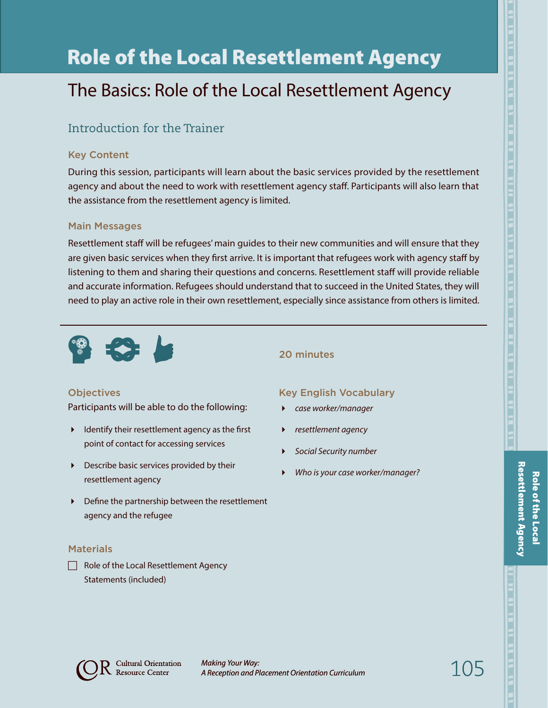# Role of the Local Resettlement Agency

## The Basics: Role of the Local Resettlement Agency

## Introduction for the Trainer

#### Key Content

During this session, participants will learn about the basic services provided by the resettlement agency and about the need to work with resettlement agency staff. Participants will also learn that the assistance from the resettlement agency is limited.

#### Main Messages

Resettlement staff will be refugees' main guides to their new communities and will ensure that they are given basic services when they first arrive. It is important that refugees work with agency staff by listening to them and sharing their questions and concerns. Resettlement staff will provide reliable and accurate information. Refugees should understand that to succeed in the United States, they will need to play an active role in their own resettlement, especially since assistance from others is limited.



#### **Objectives**

Participants will be able to do the following:

- $\blacktriangleright$  Identify their resettlement agency as the first point of contact for accessing services
- Describe basic services provided by their resettlement agency
- Define the partnership between the resettlement agency and the refugee

#### **Materials**

 $\Box$  Role of the Local Resettlement Agency Statements (included)

#### 20 minutes

#### Key English Vocabulary

- *case worker/manager*
- *resettlement agency*
- *Social Security number*
- *Who is your case worker/manager?*



105

*Making Your Way: A Reception and Placement Orientation Curriculum*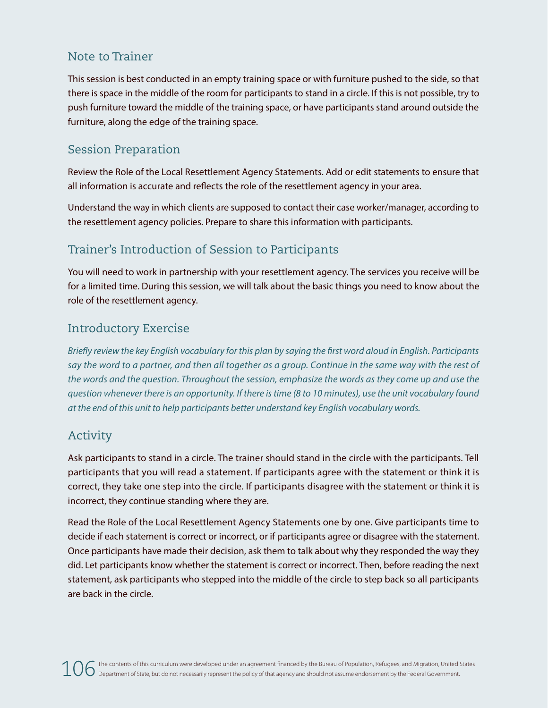### Note to Trainer

This session is best conducted in an empty training space or with furniture pushed to the side, so that there is space in the middle of the room for participants to stand in a circle. If this is not possible, try to push furniture toward the middle of the training space, or have participants stand around outside the furniture, along the edge of the training space.

## Session Preparation

Review the Role of the Local Resettlement Agency Statements. Add or edit statements to ensure that all information is accurate and reflects the role of the resettlement agency in your area.

Understand the way in which clients are supposed to contact their case worker/manager, according to the resettlement agency policies. Prepare to share this information with participants.

## Trainer's Introduction of Session to Participants

You will need to work in partnership with your resettlement agency. The services you receive will be for a limited time. During this session, we will talk about the basic things you need to know about the role of the resettlement agency.

### Introductory Exercise

*Briefly review the key English vocabulary for this plan by saying the first word aloud in English. Participants say the word to a partner, and then all together as a group. Continue in the same way with the rest of the words and the question. Throughout the session, emphasize the words as they come up and use the question whenever there is an opportunity. If there is time (8 to 10 minutes), use the unit vocabulary found at the end of this unit to help participants better understand key English vocabulary words.*

## Activity

Ask participants to stand in a circle. The trainer should stand in the circle with the participants. Tell participants that you will read a statement. If participants agree with the statement or think it is correct, they take one step into the circle. If participants disagree with the statement or think it is incorrect, they continue standing where they are.

Read the Role of the Local Resettlement Agency Statements one by one. Give participants time to decide if each statement is correct or incorrect, or if participants agree or disagree with the statement. Once participants have made their decision, ask them to talk about why they responded the way they did. Let participants know whether the statement is correct or incorrect. Then, before reading the next statement, ask participants who stepped into the middle of the circle to step back so all participants are back in the circle.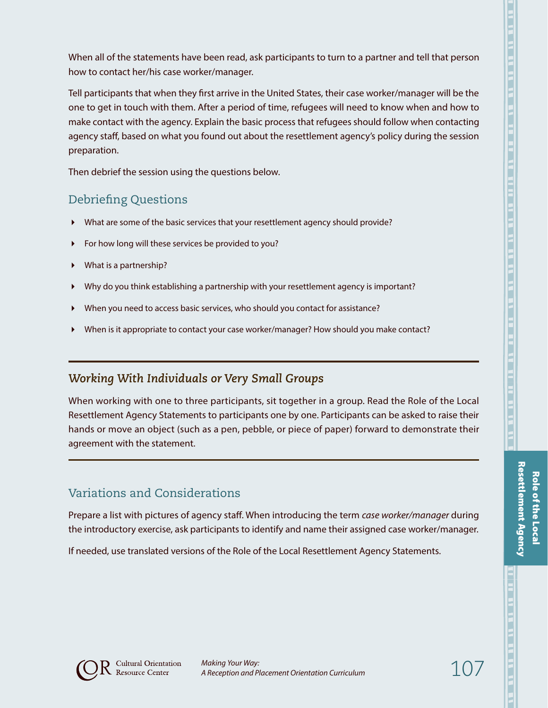When all of the statements have been read, ask participants to turn to a partner and tell that person how to contact her/his case worker/manager.

Tell participants that when they first arrive in the United States, their case worker/manager will be the one to get in touch with them. After a period of time, refugees will need to know when and how to make contact with the agency. Explain the basic process that refugees should follow when contacting agency staff, based on what you found out about the resettlement agency's policy during the session preparation.

Then debrief the session using the questions below.

### Debriefing Questions

- What are some of the basic services that your resettlement agency should provide?
- For how long will these services be provided to you?
- What is a partnership?
- Why do you think establishing a partnership with your resettlement agency is important?
- When you need to access basic services, who should you contact for assistance?
- When is it appropriate to contact your case worker/manager? How should you make contact?

#### *Working With Individuals or Very Small Groups*

When working with one to three participants, sit together in a group. Read the Role of the Local Resettlement Agency Statements to participants one by one. Participants can be asked to raise their hands or move an object (such as a pen, pebble, or piece of paper) forward to demonstrate their agreement with the statement.

## Variations and Considerations

Prepare a list with pictures of agency staff. When introducing the term *case worker/manager* during the introductory exercise, ask participants to identify and name their assigned case worker/manager.

If needed, use translated versions of the Role of the Local Resettlement Agency Statements.